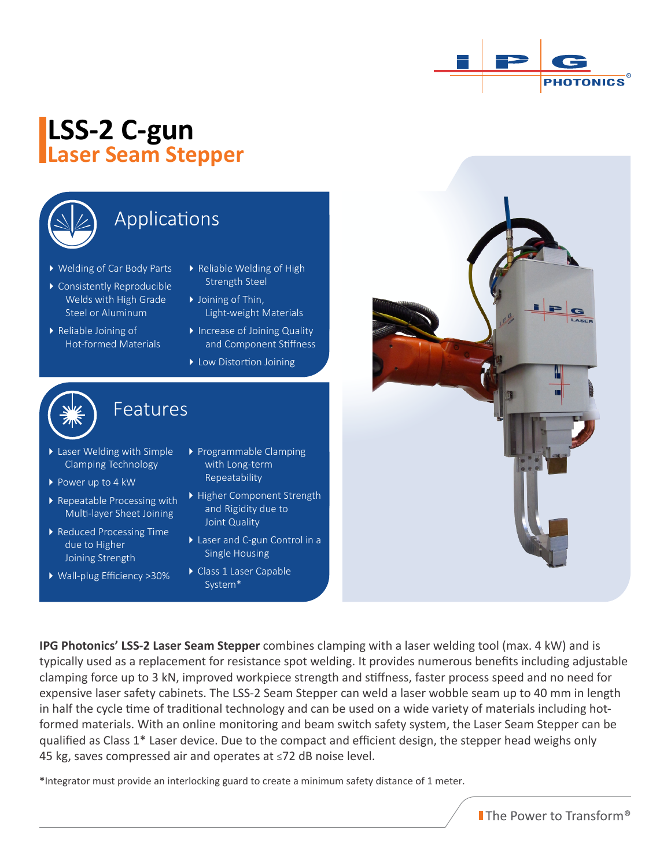

# **LSS-2 C-gun Laser Seam Stepper**



## Applications

- Welding of Car Body Parts
- Consistently Reproducible Welds with High Grade Steel or Aluminum
- Reliable Joining of Hot-formed Materials
- ▶ Reliable Welding of High Strength Steel
- ▶ Joining of Thin, Light-weight Materials
- Increase of Joining Quality and Component Stiffness
- **Low Distortion Joining**



### Features

Features

- Laser Welding with Simple Clamping Technology
- ▶ Power up to 4 kW
- ▶ Repeatable Processing with Multi-layer Sheet Joining
- ▶ Reduced Processing Time due to Higher Joining Strength
- Wall-plug Efficiency >30%
- Programmable Clamping with Long-term Repeatability
- Higher Component Strength and Rigidity due to Joint Quality
- ▶ Laser and C-gun Control in a Single Housing
- Class 1 Laser Capable System\*



**IPG Photonics' LSS-2 Laser Seam Stepper** combines clamping with a laser welding tool (max. 4 kW) and is typically used as a replacement for resistance spot welding. It provides numerous benefits including adjustable clamping force up to 3 kN, improved workpiece strength and stiffness, faster process speed and no need for expensive laser safety cabinets. The LSS-2 Seam Stepper can weld a laser wobble seam up to 40 mm in length in half the cycle time of traditional technology and can be used on a wide variety of materials including hotformed materials. With an online monitoring and beam switch safety system, the Laser Seam Stepper can be qualified as Class 1\* Laser device. Due to the compact and efficient design, the stepper head weighs only 45 kg, saves compressed air and operates at ≤72 dB noise level.

**\***Integrator must provide an interlocking guard to create a minimum safety distance of 1 meter.